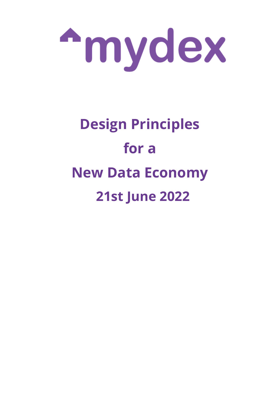

# **Design Principles for a New Data Economy 21st June 2022**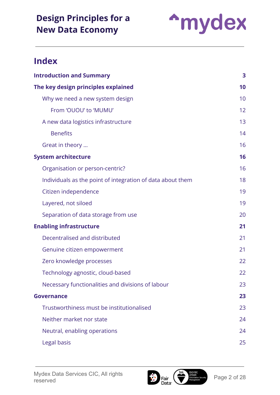

### **Index**

| <b>Introduction and Summary</b>                            | 3  |
|------------------------------------------------------------|----|
| The key design principles explained<br>10                  |    |
| Why we need a new system design                            | 10 |
| From 'OUOU' to 'MUMU'                                      | 12 |
| A new data logistics infrastructure                        | 13 |
| <b>Benefits</b>                                            | 14 |
| Great in theory                                            | 16 |
| <b>System architecture</b>                                 | 16 |
| Organisation or person-centric?                            | 16 |
| Individuals as the point of integration of data about them | 18 |
| Citizen independence                                       | 19 |
| Layered, not siloed                                        | 19 |
| Separation of data storage from use                        | 20 |
| <b>Enabling infrastructure</b>                             | 21 |
| Decentralised and distributed                              | 21 |
| Genuine citizen empowerment                                | 21 |
| Zero knowledge processes                                   | 22 |
| Technology agnostic, cloud-based                           | 22 |
| Necessary functionalities and divisions of labour          | 23 |
| <b>Governance</b>                                          | 23 |
| Trustworthiness must be institutionalised                  | 23 |
| Neither market nor state                                   | 24 |
| Neutral, enabling operations                               | 24 |
| Legal basis                                                | 25 |

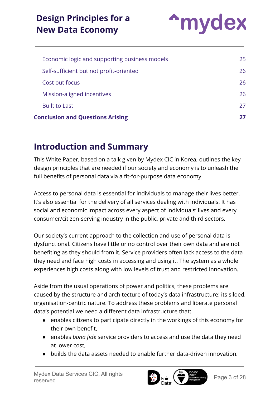

| <b>Conclusion and Questions Arising</b>       |     |
|-----------------------------------------------|-----|
| <b>Built to Last</b>                          | 27  |
| Mission-aligned incentives                    | 26  |
| Cost out focus                                | 26  |
| Self-sufficient but not profit-oriented       | 26  |
| Economic logic and supporting business models | 25. |
|                                               |     |

### <span id="page-2-0"></span>**Introduction and Summary**

This White Paper, based on a talk given by Mydex CIC in Korea, outlines the key design principles that are needed if our society and economy is to unleash the full benefits of personal data via a fit-for-purpose data economy.

Access to personal data is essential for individuals to manage their lives better. It's also essential for the delivery of all services dealing with individuals. It has social and economic impact across every aspect of individuals' lives and every consumer/citizen-serving industry in the public, private and third sectors.

Our society's current approach to the collection and use of personal data is dysfunctional. Citizens have little or no control over their own data and are not benefiting as they should from it. Service providers often lack access to the data they need and face high costs in accessing and using it. The system as a whole experiences high costs along with low levels of trust and restricted innovation.

Aside from the usual operations of power and politics, these problems are caused by the structure and architecture of today's data infrastructure: its siloed, organisation-centric nature. To address these problems and liberate personal data's potential we need a different data infrastructure that:

- enables citizens to participate directly in the workings of this economy for their own benefit,
- enables *bona fide* service providers to access and use the data they need at lower cost,
- builds the data assets needed to enable further data-driven innovation.

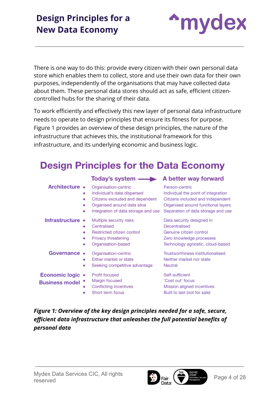**A**mydex

There is one way to do this: provide every citizen with their own personal data store which enables them to collect, store and use their own data for their own purposes, independently of the organisations that may have collected data about them. These personal data stores should act as safe, efficient citizencontrolled hubs for the sharing of their data.

To work efficiently and effectively this new layer of personal data infrastructure needs to operate to design principles that ensure its fitness for purpose. Figure 1 provides an overview of these design principles, the nature of the infrastructure that achieves this, the institutional framework for this infrastructure, and its underlying economic and business logic.

### **Design Principles for the Data Economy**

|                                           | Today's system — A better way forward                                                                                                                        |                                                                                                                                                                        |
|-------------------------------------------|--------------------------------------------------------------------------------------------------------------------------------------------------------------|------------------------------------------------------------------------------------------------------------------------------------------------------------------------|
| Architecture •<br>٠<br>۰<br>۰             | Organisation-centric<br>Individual's data dispersed<br>Citizens excluded and dependent<br>Organised around data silos<br>Integration of data storage and use | Person-centric<br>Individual the point of integration<br>Citizens included and independent<br>Organised around functional layers<br>Separation of data storage and use |
| Infrastructure<br>٠<br>۰<br>٠<br>٠        | Multiple security risks<br>Centralised<br>Restricted citizen control<br>Privacy threatening<br>Organisation-based                                            | Data security designed in<br>Decentralised<br>Genuine citizen control<br>Zero knowledge processes<br>Technology agnostic, cloud-based                                  |
| Governance<br>۰<br>۰                      | Organisation-centric<br>Either market or state<br>Seeking competitive advantage                                                                              | Trustworthiness institutionalised<br>Neither market nor state<br>Neutral                                                                                               |
| Economic logic •<br><b>Business model</b> | Profit focused<br>Margin focused<br>Conflicting incentives<br>Short term focus                                                                               | Self-sufficient<br>'Cost out' focus<br>Mission aligned incentives<br>Built to last (not for sale)                                                                      |

*Figure 1: Overview of the key design principles needed for a safe, secure, efficient data infrastructure that unleashes the full potential benefits of personal data*

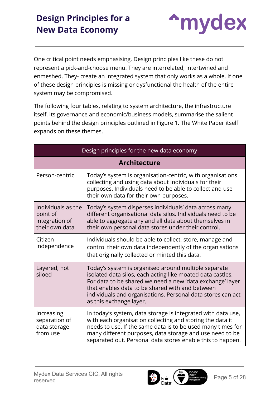

One critical point needs emphasising. Design principles like these do not represent a pick-and-choose menu. They are interrelated, intertwined and enmeshed. They- create an integrated system that only works as a whole. If one of these design principles is missing or dysfunctional the health of the entire system may be compromised.

The following four tables, relating to system architecture, the infrastructure itself, its governance and economic/business models, summarise the salient points behind the design principles outlined in Figure 1. The White Paper itself expands on these themes.

| Design principles for the new data economy                         |                                                                                                                                                                                                                                                                                                                              |  |
|--------------------------------------------------------------------|------------------------------------------------------------------------------------------------------------------------------------------------------------------------------------------------------------------------------------------------------------------------------------------------------------------------------|--|
| <b>Architecture</b>                                                |                                                                                                                                                                                                                                                                                                                              |  |
| Person-centric                                                     | Today's system is organisation-centric, with organisations<br>collecting and using data about individuals for their<br>purposes. Individuals need to be able to collect and use<br>their own data for their own purposes.                                                                                                    |  |
| Individuals as the<br>point of<br>integration of<br>their own data | Today's system disperses individuals' data across many<br>different organisational data silos. Individuals need to be<br>able to aggregate any and all data about themselves in<br>their own personal data stores under their control.                                                                                       |  |
| Citizen<br>independence                                            | Individuals should be able to collect, store, manage and<br>control their own data independently of the organisations<br>that originally collected or minted this data.                                                                                                                                                      |  |
| Layered, not<br>siloed                                             | Today's system is organised around multiple separate<br>isolated data silos, each acting like moated data castles.<br>For data to be shared we need a new 'data exchange' layer<br>that enables data to be shared with and between<br>individuals and organisations. Personal data stores can act<br>as this exchange layer. |  |
| Increasing<br>separation of<br>data storage<br>from use            | In today's system, data storage is integrated with data use,<br>with each organisation collecting and storing the data it<br>needs to use. If the same data is to be used many times for<br>many different purposes, data storage and use need to be<br>separated out. Personal data stores enable this to happen.           |  |

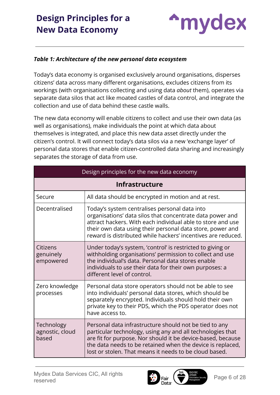

#### *Table 1: Architecture of the new personal data ecosystem*

Today's data economy is organised exclusively around organisations, disperses citizens' data across many different organisations, excludes citizens from its workings (with organisations collecting and using data *about* them), operates via separate data silos that act like moated castles of data control, and integrate the collection and use of data behind these castle walls.

The new data economy will enable citizens to collect and use their own data (as well as organisations), make individuals the point at which data about themselves is integrated, and place this new data asset directly under the citizen's control. It will connect today's data silos via a new 'exchange layer' of personal data stores that enable citizen-controlled data sharing and increasingly separates the storage of data from use.

| Design principles for the new data economy |                                                                                                                                                                                                                                                                                                             |  |
|--------------------------------------------|-------------------------------------------------------------------------------------------------------------------------------------------------------------------------------------------------------------------------------------------------------------------------------------------------------------|--|
| <b>Infrastructure</b>                      |                                                                                                                                                                                                                                                                                                             |  |
| Secure                                     | All data should be encrypted in motion and at rest.                                                                                                                                                                                                                                                         |  |
| Decentralised                              | Today's system centralises personal data into<br>organisations' data silos that concentrate data power and<br>attract hackers. With each individual able to store and use<br>their own data using their personal data store, power and<br>reward is distributed while hackers' incentives are reduced.      |  |
| Citizens<br>genuinely<br>empowered         | Under today's system, 'control' is restricted to giving or<br>withholding organisations' permission to collect and use<br>the individual's data. Personal data stores enable<br>individuals to use their data for their own purposes: a<br>different level of control.                                      |  |
| Zero knowledge<br>processes                | Personal data store operators should not be able to see<br>into individuals' personal data stores, which should be<br>separately encrypted. Individuals should hold their own<br>private key to their PDS, which the PDS operator does not<br>have access to.                                               |  |
| Technology<br>agnostic, cloud<br>based     | Personal data infrastructure should not be tied to any<br>particular technology, using any and all technologies that<br>are fit for purpose. Nor should it be device-based, because<br>the data needs to be retained when the device is replaced,<br>lost or stolen. That means it needs to be cloud based. |  |

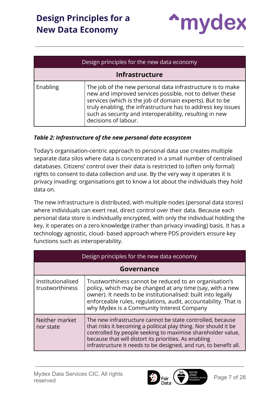

| Design principles for the new data economy |                                                                                                                                                                                                                                                                                                                                       |  |
|--------------------------------------------|---------------------------------------------------------------------------------------------------------------------------------------------------------------------------------------------------------------------------------------------------------------------------------------------------------------------------------------|--|
| Infrastructure                             |                                                                                                                                                                                                                                                                                                                                       |  |
| Enabling                                   | The job of the new personal data infrastructure is to make<br>new and improved services possible, not to deliver these<br>services (which is the job of domain experts). But to be<br>truly enabling, the infrastructure has to address key issues<br>such as security and interoperability, resulting in new<br>decisions of labour. |  |

#### *Table 2: Infrastructure of the new personal data ecosystem*

Today's organisation-centric approach to personal data use creates multiple separate data silos where data is concentrated in a small number of centralised databases. Citizens' control over their data is restricted to (often only formal) rights to consent to data collection and use. By the very way it operates it is privacy invading: organisations get to know a lot about the individuals they hold data on.

The new infrastructure is distributed, with multiple nodes (personal data stores) where individuals can exert real, direct control over their data. Because each personal data store is individually encrypted, with only the individual holding the key, it operates on a zero knowledge (rather than privacy invading) basis. It has a technology agnostic, cloud- based approach where PDS providers ensure key functions such as interoperability.

| Design principles for the new data economy |                                                                                                                                                                                                                                                                                                                           |  |  |
|--------------------------------------------|---------------------------------------------------------------------------------------------------------------------------------------------------------------------------------------------------------------------------------------------------------------------------------------------------------------------------|--|--|
|                                            | Governance                                                                                                                                                                                                                                                                                                                |  |  |
| Institutionalised<br>trustworthiness       | Trustworthiness cannot be reduced to an organisation's<br>policy, which may be changed at any time (say, with a new<br>owner). It needs to be institutionalised: built into legally<br>enforceable rules, regulations, audit, accountability. That is<br>why Mydex is a Community Interest Company                        |  |  |
| Neither market<br>nor state                | The new infrastructure cannot be state controlled, because<br>that risks it becoming a political play thing. Nor should it be<br>controlled by people seeking to maximise shareholder value,<br>because that will distort its priorities. As enabling<br>infrastructure it needs to be designed, and run, to benefit all. |  |  |

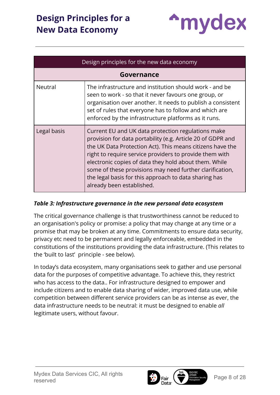

| Design principles for the new data economy |                                                                                                                                                                                                                                                                                                                                                                                                                                                      |  |
|--------------------------------------------|------------------------------------------------------------------------------------------------------------------------------------------------------------------------------------------------------------------------------------------------------------------------------------------------------------------------------------------------------------------------------------------------------------------------------------------------------|--|
|                                            | Governance                                                                                                                                                                                                                                                                                                                                                                                                                                           |  |
| Neutral                                    | The infrastructure and institution should work - and be<br>seen to work - so that it never favours one group, or<br>organisation over another. It needs to publish a consistent<br>set of rules that everyone has to follow and which are<br>enforced by the infrastructure platforms as it runs.                                                                                                                                                    |  |
| Legal basis                                | Current EU and UK data protection regulations make<br>provision for data portability (e.g. Article 20 of GDPR and<br>the UK Data Protection Act). This means citizens have the<br>right to require service providers to provide them with<br>electronic copies of data they hold about them. While<br>some of these provisions may need further clarification,<br>the legal basis for this approach to data sharing has<br>already been established. |  |

#### *Table 3: Infrastructure governance in the new personal data ecosystem*

The critical governance challenge is that trustworthiness cannot be reduced to an organisation's policy or promise: a policy that may change at any time or a promise that may be broken at any time. Commitments to ensure data security, privacy etc need to be permanent and legally enforceable, embedded in the constitutions of the institutions providing the data infrastructure. (This relates to the 'built to last' principle - see below).

In today's data ecosystem, many organisations seek to gather and use personal data for the purposes of competitive advantage. To achieve this, they restrict who has access to the data.. For infrastructure designed to empower and include citizens and to enable data sharing of wider, improved data use, while competition between different service providers can be as intense as ever, the data infrastructure needs to be neutral: it must be designed to enable *all* legitimate users, without favour.

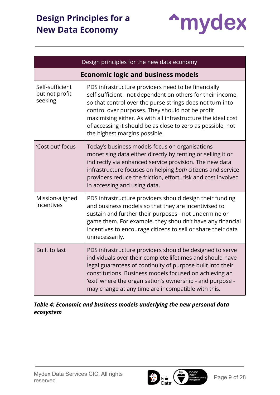

|                                              | Design principles for the new data economy                                                                                                                                                                                                                                                                                                                                                          |  |
|----------------------------------------------|-----------------------------------------------------------------------------------------------------------------------------------------------------------------------------------------------------------------------------------------------------------------------------------------------------------------------------------------------------------------------------------------------------|--|
|                                              | <b>Economic logic and business models</b>                                                                                                                                                                                                                                                                                                                                                           |  |
| Self-sufficient<br>but not profit<br>seeking | PDS infrastructure providers need to be financially<br>self-sufficient - not dependent on others for their income,<br>so that control over the purse strings does not turn into<br>control over purposes. They should not be profit<br>maximising either. As with all infrastructure the ideal cost<br>of accessing it should be as close to zero as possible, not<br>the highest margins possible. |  |
| 'Cost out' focus                             | Today's business models focus on organisations<br>monetising data either directly by renting or selling it or<br>indirectly via enhanced service provision. The new data<br>infrastructure focuses on helping both citizens and service<br>providers reduce the friction, effort, risk and cost involved<br>in accessing and using data.                                                            |  |
| Mission-aligned<br>incentives                | PDS infrastructure providers should design their funding<br>and business models so that they are incentivised to<br>sustain and further their purposes - not undermine or<br>game them. For example, they shouldn't have any financial<br>incentives to encourage citizens to sell or share their data<br>unnecessarily.                                                                            |  |
| <b>Built to last</b>                         | PDS infrastructure providers should be designed to serve<br>individuals over their complete lifetimes and should have<br>legal guarantees of continuity of purpose built into their<br>constitutions. Business models focused on achieving an<br>'exit' where the organisation's ownership - and purpose -<br>may change at any time are incompatible with this.                                    |  |

*Table 4: Economic and business models underlying the new personal data ecosystem*

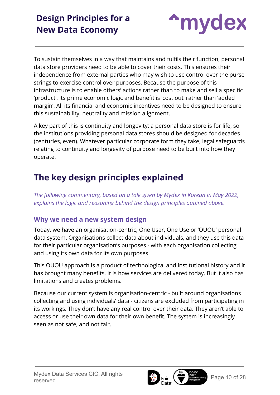

To sustain themselves in a way that maintains and fulfils their function, personal data store providers need to be able to cover their costs. This ensures their independence from external parties who may wish to use control over the purse strings to exercise control over purposes. Because the purpose of this infrastructure is to enable others' actions rather than to make and sell a specific 'product', its prime economic logic and benefit is 'cost out' rather than 'added margin'. All its financial and economic incentives need to be designed to ensure this sustainability, neutrality and mission alignment.

A key part of this is continuity and longevity: a personal data store is for life, so the institutions providing personal data stores should be designed for decades (centuries, even). Whatever particular corporate form they take, legal safeguards relating to continuity and longevity of purpose need to be built into how they operate.

### <span id="page-9-0"></span>**The key design principles explained**

*The following commentary, based on a talk given by Mydex in Korean in May 2022, explains the logic and reasoning behind the design principles outlined above.*

#### <span id="page-9-1"></span>**Why we need a new system design**

Today, we have an organisation-centric, One User, One Use or 'OUOU' personal data system. Organisations collect data about individuals, and they use this data for their particular organisation's purposes - with each organisation collecting and using its own data for its own purposes.

This OUOU approach is a product of technological and institutional history and it has brought many benefits. It is how services are delivered today. But it also has limitations and creates problems.

Because our current system is organisation-centric - built around organisations collecting and using individuals' data - citizens are excluded from participating in its workings. They don't have any real control over their data. They aren't able to access or use their own data for their own benefit. The system is increasingly seen as not safe, and not fair.

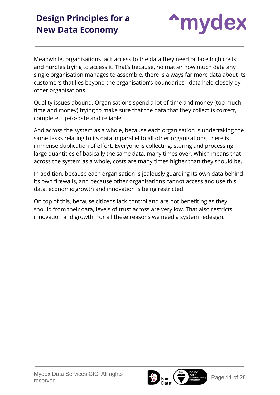

Meanwhile, organisations lack access to the data they need or face high costs and hurdles trying to access it. That's because, no matter how much data any single organisation manages to assemble, there is always far more data about its customers that lies beyond the organisation's boundaries - data held closely by other organisations.

Quality issues abound. Organisations spend a lot of time and money (too much time and money) trying to make sure that the data that they collect is correct, complete, up-to-date and reliable.

And across the system as a whole, because each organisation is undertaking the same tasks relating to its data in parallel to all other organisations, there is immense duplication of effort. Everyone is collecting, storing and processing large quantities of basically the same data, many times over. Which means that across the system as a whole, costs are many times higher than they should be.

In addition, because each organisation is jealously guarding its own data behind its own firewalls, and because other organisations cannot access and use this data, economic growth and innovation is being restricted.

On top of this, because citizens lack control and are not benefiting as they should from their data, levels of trust across are very low. That also restricts innovation and growth. For all these reasons we need a system redesign.

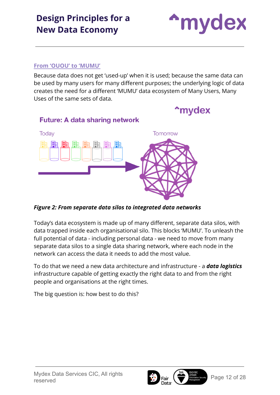

#### <span id="page-11-0"></span>**From 'OUOU' to 'MUMU'**

Because data does not get 'used-up' when it is used; because the same data can be used by many users for many different purposes; the underlying logic of data creates the need for a different 'MUMU' data ecosystem of Many Users, Many Uses of the same sets of data.



#### *Figure 2: From separate data silos to integrated data networks*

Today's data ecosystem is made up of many different, separate data silos, with data trapped inside each organisational silo. This blocks 'MUMU'. To unleash the full potential of data - including personal data - we need to move from many separate data silos to a single data sharing network, where each node in the network can access the data it needs to add the most value.

To do that we need a new data architecture and infrastructure - a *data logistics* infrastructure capable of getting exactly the right data to and from the right people and organisations at the right times.

The big question is: how best to do this?

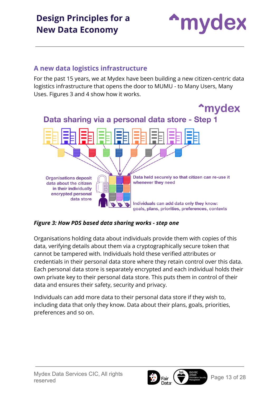

#### <span id="page-12-0"></span>**A new data logistics infrastructure**

For the past 15 years, we at Mydex have been building a new citizen-centric data logistics infrastructure that opens the door to MUMU - to Many Users, Many Uses. Figures 3 and 4 show how it works.



#### *Figure 3: How PDS based data sharing works - step one*

Organisations holding data about individuals provide them with copies of this data, verifying details about them via a cryptographically secure token that cannot be tampered with. Individuals hold these verified attributes or credentials in their personal data store where they retain control over this data. Each personal data store is separately encrypted and each individual holds their own private key to their personal data store. This puts them in control of their data and ensures their safety, security and privacy.

Individuals can add more data to their personal data store if they wish to, including data that only they know. Data about their plans, goals, priorities, preferences and so on.



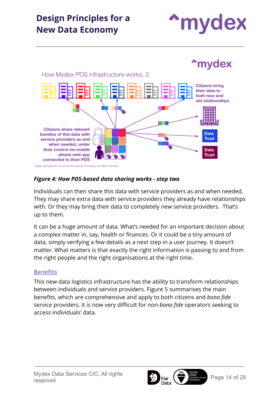



#### *Figure 4: How PDS-based data sharing works - step two*

Individuals can then share this data with service providers as and when needed. They may share extra data with service providers they already have relationships with. Or they may bring their data to completely new service providers. That's up to them.

It can be a huge amount of data. What's needed for an important decision about a complex matter in, say, health or finances. Or it could be a tiny amount of data, simply verifying a few details as a next step in a user journey. It doesn't matter. What matters is that exactly the right information is passing to and from the right people and the right organisations at the right time.

#### <span id="page-13-0"></span>**Benefits**

This new data logistics infrastructure has the ability to transform relationships between individuals and service providers. Figure 5 summarises the main benefits, which are comprehensive and apply to both citizens and *bona fide* service providers. It is now very difficult for non-*bona fide* operators seeking to access individuals' data.



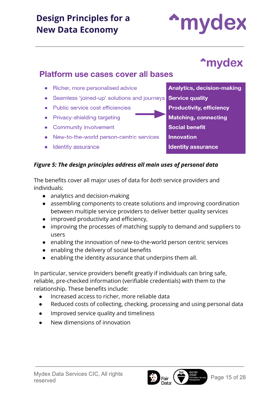**Platform use cases cover all bases** 

• Richer, more personalised advice

• Public service cost efficiencies

• Community involvement

• Identity assurance

### **Analytics, decision-making** • Seamless 'joined-up' solutions and journeys Service quality **Productivity, efficiency Matching, connecting Social benefit Innovation Identity assurance**

#### *Figure 5: The design principles address all main uses of personal data*

The benefits cover all major uses of data for *both* service providers and individuals:

- analytics and decision-making
- assembling components to create solutions and improving coordination between multiple service providers to deliver better quality services
- improved productivity and efficiency,
- improving the processes of matching supply to demand and suppliers to users
- enabling the innovation of new-to-the-world person centric services
- enabling the delivery of social benefits
- enabling the identity assurance that underpins them all.

In particular, service providers benefit greatly if individuals can bring safe, reliable, pre-checked information (verifiable credentials) with them to the relationship. These benefits include:

- Increased access to richer, more reliable data
- Reduced costs of collecting, checking, processing and using personal data
- Improved service quality and timeliness
- New dimensions of innovation

**<sup>\*</sup>mydex** 

**A**mydex

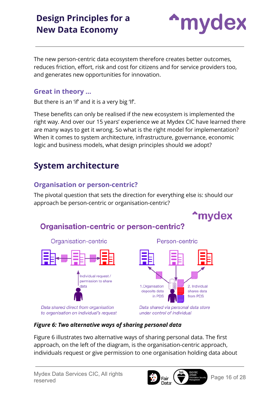

The new person-centric data ecosystem therefore creates better outcomes, reduces friction, effort, risk and cost for citizens and for service providers too, and generates new opportunities for innovation.

#### <span id="page-15-0"></span>**Great in theory …**

But there is an 'if' and it is a very big 'If'.

These benefits can only be realised if the new ecosystem is implemented the right way. And over our 15 years' experience we at Mydex CIC have learned there are many ways to get it wrong. So what is the right model for implementation? When it comes to system architecture, infrastructure, governance, economic logic and business models, what design principles should we adopt?

### <span id="page-15-1"></span>**System architecture**

#### <span id="page-15-2"></span>**Organisation or person-centric?**

The pivotal question that sets the direction for everything else is: should our approach be person-centric or organisation-centric?



### **Organisation-centric or person-centric?**





Data shared via personal data store under control of individual

#### *Figure 6: Two alternative ways of sharing personal data*

Figure 6 illustrates two alternative ways of sharing personal data. The first approach, on the left of the diagram, is the organisation-centric approach, individuals request or give permission to one organisation holding data about



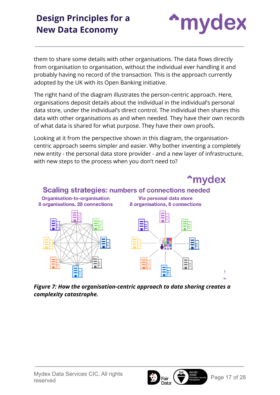

them to share some details with other organisations. The data flows directly from organisation to organisation, without the individual ever handling it and probably having no record of the transaction. This is the approach currently adopted by the UK with its Open Banking initiative.

The right hand of the diagram illustrates the person-centric approach. Here, organisations deposit details about the individual in the individual's personal data store, under the individual's direct control. The individual then shares this data with other organisations as and when needed. They have their own records of what data is shared for what purpose. They have their own proofs.

Looking at it from the perspective shown in this diagram, the organisationcentric approach seems simpler and easier. Why bother inventing a completely new entity - the personal data store provider - and a new layer of infrastructure, with new steps to the process when you don't need to?



*Figure 7: How the organisation-centric approach to data sharing creates a complexity catastrophe.*

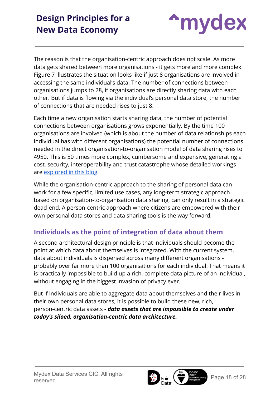

The reason is that the organisation-centric approach does not scale. As more data gets shared between more organisations - it gets more and more complex. Figure 7 illustrates the situation looks like if just 8 organisations are involved in accessing the same individual's data. The number of connections between organisations jumps to 28, if organisations are directly sharing data with each other. But if data is flowing via the individual's personal data store, the number of connections that are needed rises to just 8.

Each time a new organisation starts sharing data, the number of potential connections between organisations grows exponentially. By the time 100 organisations are involved (which is about the number of data relationships each individual has with different organisations) the potential number of connections needed in the direct organisation-to-organisation model of data sharing rises to 4950. This is 50 times more complex, cumbersome and expensive, generating a cost, security, interoperability and trust catastrophe whose detailed workings are [explored in this blog](https://medium.com/mydex/the-perils-of-pre-copernican-data-strategy-974827845585).

While the organisation-centric approach to the sharing of personal data can work for a few specific, limited use cases, any long-term strategic approach based on organisation-to-organisation data sharing, can only result in a strategic dead-end. A person-centric approach where citizens are empowered with their own personal data stores and data sharing tools is the way forward.

#### <span id="page-17-0"></span>**Individuals as the point of integration of data about them**

A second architectural design principle is that individuals should become the point at which data about themselves is integrated. With the current system, data about individuals is dispersed across many different organisations probably over far more than 100 organisations for each individual. That means it is practically impossible to build up a rich, complete data picture of an individual, without engaging in the biggest invasion of privacy ever.

But if individuals are able to aggregate data about themselves and their lives in their own personal data stores, it is possible to build these new, rich, person-centric data assets - *data assets that are impossible to create under today's siloed, organisation-centric data architecture.*



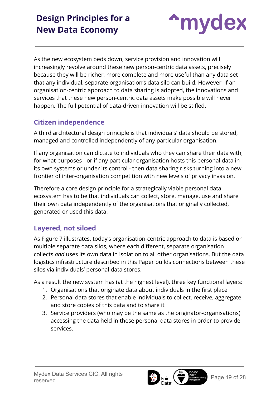

As the new ecosystem beds down, service provision and innovation will increasingly revolve around these new person-centric data assets, precisely because they will be richer, more complete and more useful than any data set that any individual, separate organisation's data silo can build. However, if an organisation-centric approach to data sharing is adopted, the innovations and services that these new person-centric data assets make possible will never happen. The full potential of data-driven innovation will be stifled.

#### <span id="page-18-0"></span>**Citizen independence**

A third architectural design principle is that individuals' data should be stored, managed and controlled independently of any particular organisation.

If any organisation can dictate to individuals who they can share their data with, for what purposes - or if any particular organisation hosts this personal data in its own systems or under its control - then data sharing risks turning into a new frontier of inter-organisation competition with new levels of privacy invasion.

Therefore a core design principle for a strategically viable personal data ecosystem has to be that individuals can collect, store, manage, use and share their own data independently of the organisations that originally collected, generated or used this data.

#### <span id="page-18-1"></span>**Layered, not siloed**

As Figure 7 illustrates, today's organisation-centric approach to data is based on multiple separate data silos, where each different, separate organisation collects *and* uses its own data in isolation to all other organisations. But the data logistics infrastructure described in this Paper builds connections between these silos via individuals' personal data stores.

As a result the new system has (at the highest level), three key functional layers:

- 1. Organisations that originate data about individuals in the first place
- 2. Personal data stores that enable individuals to collect, receive, aggregate and store copies of this data and to share it
- 3. Service providers (who may be the same as the originator-organisations) accessing the data held in these personal data stores in order to provide services.



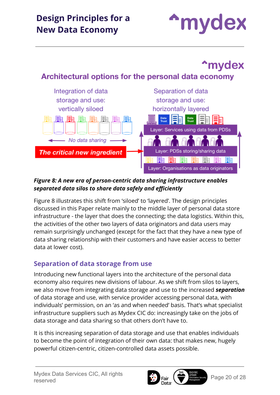

## **<sup>\*</sup>mydex<sup>\*</sup>**

### Architectural options for the personal data economy



#### *Figure 8: A new era of person-centric data sharing infrastructure enables separated data silos to share data safely and efficiently*

Figure 8 illustrates this shift from 'siloed' to 'layered'. The design principles discussed in this Paper relate mainly to the middle layer of personal data store infrastructure - the layer that does the connecting; the data logistics. Within this, the activities of the other two layers of data originators and data users may remain surprisingly unchanged (except for the fact that they have a new type of data sharing relationship with their customers and have easier access to better data at lower cost).

#### <span id="page-19-0"></span>**Separation of data storage from use**

Introducing new functional layers into the architecture of the personal data economy also requires new divisions of labour. As we shift from silos to layers, we also move from integrating data storage and use to the increased *separation* of data storage and use, with service provider accessing personal data, with individuals' permission, on an 'as and when needed' basis. That's what specialist infrastructure suppliers such as Mydex CIC do: increasingly take on the jobs of data storage and data sharing so that others don't have to.

It is this increasing separation of data storage and use that enables individuals to become the point of integration of their own data: that makes new, hugely powerful citizen-centric, citizen-controlled data assets possible.

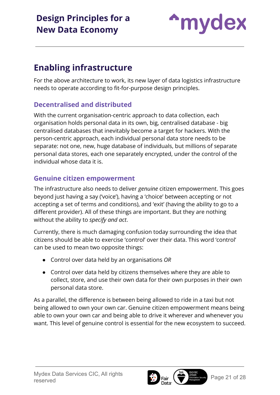

### <span id="page-20-0"></span>**Enabling infrastructure**

For the above architecture to work, its new layer of data logistics infrastructure needs to operate according to fit-for-purpose design principles.

#### <span id="page-20-1"></span>**Decentralised and distributed**

With the current organisation-centric approach to data collection, each organisation holds personal data in its own, big, centralised database - big centralised databases that inevitably become a target for hackers. With the person-centric approach, each individual personal data store needs to be separate: not one, new, huge database of individuals, but millions of separate personal data stores, each one separately encrypted, under the control of the individual whose data it is.

#### <span id="page-20-2"></span>**Genuine citizen empowerment**

The infrastructure also needs to deliver *genuine* citizen empowerment. This goes beyond just having a say ('voice'), having a 'choice' between accepting or not accepting a set of terms and conditions), and 'exit' (having the ability to go to a different provider). All of these things are important. But they are nothing without the ability to *specify and act*.

Currently, there is much damaging confusion today surrounding the idea that citizens should be able to exercise 'control' over their data. This word 'control' can be used to mean two opposite things:

- Control over data held by an organisations *OR*
- Control over data held by citizens themselves where they are able to collect, store, and use their own data for their own purposes in their own personal data store.

As a parallel, the difference is between being allowed to ride in a taxi but not being allowed to own your own car. Genuine citizen empowerment means being able to own your own car and being able to drive it wherever and whenever you want. This level of genuine control is essential for the new ecosystem to succeed.

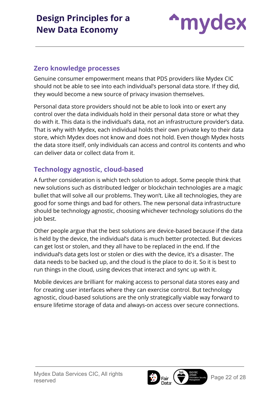

#### <span id="page-21-0"></span>**Zero knowledge processes**

Genuine consumer empowerment means that PDS providers like Mydex CIC should not be able to see into each individual's personal data store. If they did, they would become a new source of privacy invasion themselves.

Personal data store providers should not be able to look into or exert any control over the data individuals hold in their personal data store or what they do with it. This data is the individual's data, not an infrastructure provider's data. That is why with Mydex, each individual holds their own private key to their data store, which Mydex does not know and does not hold. Even though Mydex hosts the data store itself, only individuals can access and control its contents and who can deliver data or collect data from it.

#### <span id="page-21-1"></span>**Technology agnostic, cloud-based**

A further consideration is which tech solution to adopt. Some people think that new solutions such as distributed ledger or blockchain technologies are a magic bullet that will solve all our problems. They won't. Like all technologies, they are good for some things and bad for others. The new personal data infrastructure should be technology agnostic, choosing whichever technology solutions do the job best.

Other people argue that the best solutions are device-based because if the data is held by the device, the individual's data is much better protected. But devices can get lost or stolen, and they all have to be replaced in the end. If the individual's data gets lost or stolen or dies with the device, it's a disaster. The data needs to be backed up, and the cloud is the place to do it. So it is best to run things in the cloud, using devices that interact and sync up with it.

Mobile devices are brilliant for making access to personal data stores easy and for creating user interfaces where they can exercise control. But technology agnostic, cloud-based solutions are the only strategically viable way forward to ensure lifetime storage of data and always-on access over secure connections.

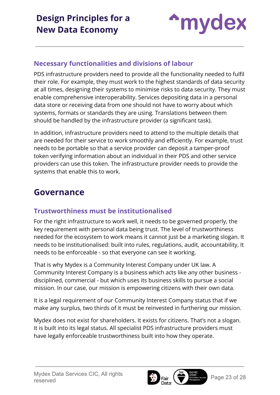

#### <span id="page-22-0"></span>**Necessary functionalities and divisions of labour**

PDS infrastructure providers need to provide all the functionality needed to fulfil their role. For example, they must work to the highest standards of data security at all times, designing their systems to minimise risks to data security. They must enable comprehensive interoperability. Services depositing data in a personal data store or receiving data from one should not have to worry about which systems, formats or standards they are using. Translations between them should be handled by the infrastructure provider (a significant task).

In addition, infrastructure providers need to attend to the multiple details that are needed for their service to work smoothly and efficiently. For example, trust needs to be portable so that a service provider can deposit a tamper-proof token verifying information about an individual in their PDS and other service providers can use this token. The infrastructure provider needs to provide the systems that enable this to work.

### <span id="page-22-1"></span>**Governance**

#### <span id="page-22-2"></span>**Trustworthiness must be institutionalised**

For the right infrastructure to work well, it needs to be governed properly, the key requirement with personal data being trust. The level of trustworthiness needed for the ecosystem to work means it cannot just be a marketing slogan. It needs to be institutionalised: built into rules, regulations, audit, accountability, It needs to be enforceable - so that everyone can see it working.

That is why Mydex is a Community Interest Company under UK law. A Community Interest Company is a business which acts like any other business disciplined, commercial - but which uses its business skills to pursue a social mission. In our case, our mission is empowering citizens with their own data.

It is a legal requirement of our Community Interest Company status that if we make any surplus, two thirds of it must be reinvested in furthering our mission.

Mydex does not exist for shareholders. It exists for citizens. That's not a slogan. It is built into its legal status. All specialist PDS infrastructure providers must have legally enforceable trustworthiness built into how they operate.

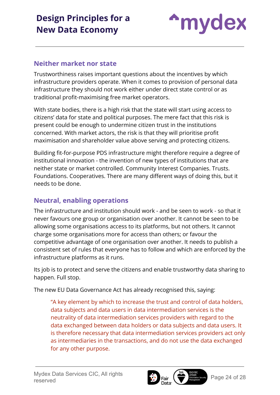

#### <span id="page-23-0"></span>**Neither market nor state**

Trustworthiness raises important questions about the incentives by which infrastructure providers operate. When it comes to provision of personal data infrastructure they should not work either under direct state control or as traditional profit-maximising free market operators.

With state bodies, there is a high risk that the state will start using access to citizens' data for state and political purposes. The mere fact that this risk is present could be enough to undermine citizen trust in the institutions concerned. With market actors, the risk is that they will prioritise profit maximisation and shareholder value above serving and protecting citizens.

Building fit-for-purpose PDS infrastructure might therefore require a degree of institutional innovation - the invention of new types of institutions that are neither state or market controlled. Community Interest Companies. Trusts. Foundations. Cooperatives. There are many different ways of doing this, but it needs to be done.

#### <span id="page-23-1"></span>**Neutral, enabling operations**

The infrastructure and institution should work - and be seen to work - so that it never favours one group or organisation over another. It cannot be seen to be allowing some organisations access to its platforms, but not others. It cannot charge some organisations more for access than others; or favour the competitive advantage of one organisation over another. It needs to publish a consistent set of rules that everyone has to follow and which are enforced by the infrastructure platforms as it runs.

Its job is to protect and serve the citizens and enable trustworthy data sharing to happen. Full stop.

The new EU Data Governance Act has already recognised this, saying:

"A key element by which to increase the trust and control of data holders, data subjects and data users in data intermediation services is the neutrality of data intermediation services providers with regard to the data exchanged between data holders or data subjects and data users. It is therefore necessary that data intermediation services providers act only as intermediaries in the transactions, and do not use the data exchanged for any other purpose.

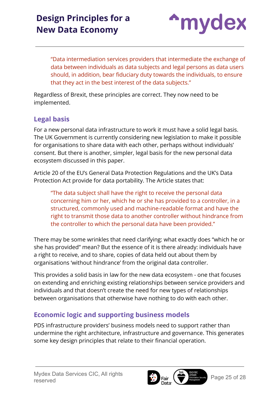

"Data intermediation services providers that intermediate the exchange of data between individuals as data subjects and legal persons as data users should, in addition, bear fiduciary duty towards the individuals, to ensure that they act in the best interest of the data subjects."

Regardless of Brexit, these principles are correct. They now need to be implemented.

#### <span id="page-24-0"></span>**Legal basis**

For a new personal data infrastructure to work it must have a solid legal basis. The UK Government is currently considering new legislation to make it possible for organisations to share data with each other, perhaps without individuals' consent. But there is another, simpler, legal basis for the new personal data ecosystem discussed in this paper.

Article 20 of the EU's General Data Protection Regulations and the UK's Data Protection Act provide for data portability. The Article states that:

"The data subject shall have the right to receive the personal data concerning him or her, which he or she has provided to a controller, in a structured, commonly used and machine-readable format and have the right to transmit those data to another controller without hindrance from the controller to which the personal data have been provided."

There may be some wrinkles that need clarifying: what exactly does "which he or she has provided" mean? But the essence of it is there already: individuals have a right to receive, and to share, copies of data held out about them by organisations 'without hindrance' from the original data controller.

This provides a solid basis in law for the new data ecosystem - one that focuses on extending and enriching existing relationships between service providers and individuals and that doesn't create the need for new types of relationships between organisations that otherwise have nothing to do with each other.

#### <span id="page-24-1"></span>**Economic logic and supporting business models**

PDS infrastructure providers' business models need to support rather than undermine the right architecture, infrastructure and governance. This generates some key design principles that relate to their financial operation.

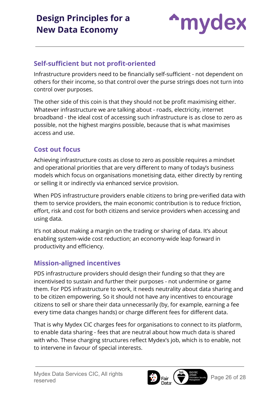

#### <span id="page-25-0"></span>**Self-sufficient but not profit-oriented**

Infrastructure providers need to be financially self-sufficient - not dependent on others for their income, so that control over the purse strings does not turn into control over purposes.

The other side of this coin is that they should not be profit maximising either. Whatever infrastructure we are talking about - roads, electricity, internet broadband - the ideal cost of accessing such infrastructure is as close to zero as possible, not the highest margins possible, because that is what maximises access and use.

#### <span id="page-25-1"></span>**Cost out focus**

Achieving infrastructure costs as close to zero as possible requires a mindset and operational priorities that are very different to many of today's business models which focus on organisations monetising data, either directly by renting or selling it or indirectly via enhanced service provision.

When PDS infrastructure providers enable citizens to bring pre-verified data with them to service providers, the main economic contribution is to reduce friction, effort, risk and cost for both citizens and service providers when accessing and using data.

It's not about making a margin on the trading or sharing of data. It's about enabling system-wide cost reduction; an economy-wide leap forward in productivity and efficiency.

#### <span id="page-25-2"></span>**Mission-aligned incentives**

PDS infrastructure providers should design their funding so that they are incentivised to sustain and further their purposes - not undermine or game them. For PDS infrastructure to work, it needs neutrality about data sharing and to be citizen empowering. So it should not have any incentives to encourage citizens to sell or share their data unnecessarily (by, for example, earning a fee every time data changes hands) or charge different fees for different data.

That is why Mydex CIC charges fees for organisations to connect to its platform, to enable data sharing - fees that are neutral about how much data is shared with who. These charging structures reflect Mydex's job, which is to enable, not to intervene in favour of special interests.

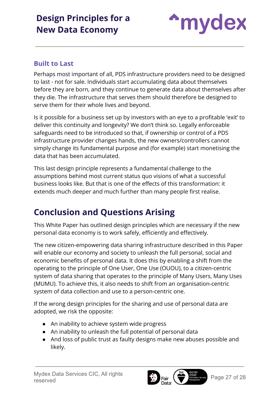

#### <span id="page-26-0"></span>**Built to Last**

Perhaps most important of all, PDS infrastructure providers need to be designed to last - not for sale. Individuals start accumulating data about themselves before they are born, and they continue to generate data about themselves after they die. The infrastructure that serves them should therefore be designed to serve them for their whole lives and beyond.

Is it possible for a business set up by investors with an eye to a profitable 'exit' to deliver this continuity and longevity? We don't think so. Legally enforceable safeguards need to be introduced so that, if ownership or control of a PDS infrastructure provider changes hands, the new owners/controllers cannot simply change its fundamental purpose and (for example) start monetising the data that has been accumulated.

This last design principle represents a fundamental challenge to the assumptions behind most current status quo visions of what a successful business looks like. But that is one of the effects of this transformation: it extends much deeper and much further than many people first realise.

### <span id="page-26-1"></span>**Conclusion and Questions Arising**

This White Paper has outlined design principles which are necessary if the new personal data economy is to work safely, efficiently and effectively.

The new citizen-empowering data sharing infrastructure described in this Paper will enable our economy and society to unleash the full personal, social and economic benefits of personal data. It does this by enabling a shift from the operating to the principle of One User, One Use (OUOU), to a citizen-centric system of data sharing that operates to the principle of Many Users, Many Uses (MUMU). To achieve this, it also needs to shift from an organisation-centric system of data collection and use to a person-centric one.

If the wrong design principles for the sharing and use of personal data are adopted, we risk the opposite:

- An inability to achieve system wide progress
- An inability to unleash the full potential of personal data
- And loss of public trust as faulty designs make new abuses possible and likely.